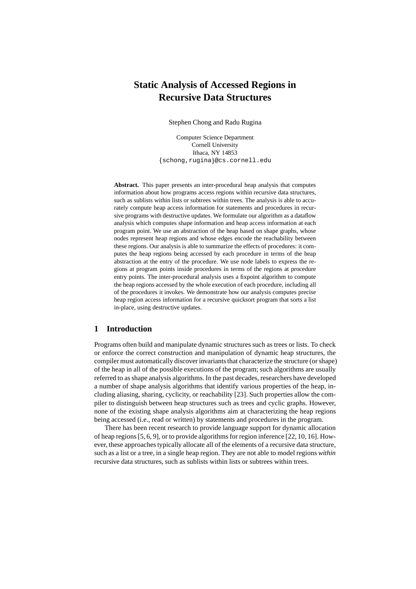# **Static Analysis of Accessed Regions in Recursive Data Structures**

Stephen Chong and Radu Rugina

Computer Science Department Cornell University Ithaca, NY 14853 schong,rugina @cs.cornell.edu

**Abstract.** This paper presents an inter-procedural heap analysis that computes information about how programs access regions within recursive data structures, such as sublists within lists or subtrees within trees. The analysis is able to accurately compute heap access information for statements and procedures in recursive programs with destructive updates. We formulate our algorithm as a dataflow analysis which computes shape information and heap access information at each program point. We use an abstraction of the heap based on shape graphs, whose nodes represent heap regions and whose edges encode the reachability between these regions. Our analysis is able to summarize the effects of procedures: it computes the heap regions being accessed by each procedure in terms of the heap abstraction at the entry of the procedure. We use node labels to express the regions at program points inside procedures in terms of the regions at procedure entry points. The inter-procedural analysis uses a fixpoint algorithm to compute the heap regions accessed by the whole execution of each procedure, including all of the procedures it invokes. We demonstrate how our analysis computes precise heap region access information for a recursive quicksort program that sorts a list in-place, using destructive updates.

# **1 Introduction**

Programs often build and manipulate dynamic structures such as trees or lists. To check or enforce the correct construction and manipulation of dynamic heap structures, the compiler must automatically discover invariants that characterize the structure (or shape) of the heap in all of the possible executions of the program; such algorithms are usually referred to as shape analysis algorithms. In the past decades, researchers have developed a number of shape analysis algorithms that identify various properties of the heap, including aliasing, sharing, cyclicity, or reachability [23]. Such properties allow the compiler to distinguish between heap structures such as trees and cyclic graphs. However, none of the existing shape analysis algorithms aim at characterizing the heap regions being accessed (i.e., read or written) by statements and procedures in the program.

There has been recent research to provide language support for dynamic allocation of heap regions  $[5, 6, 9]$ , or to provide algorithms for region inference  $[22, 10, 16]$ . However, these approachestypically allocate all of the elements of a recursive data structure, such as a list or a tree, in a single heap region. They are not able to model regions *within* recursive data structures, such as sublists within lists or subtrees within trees.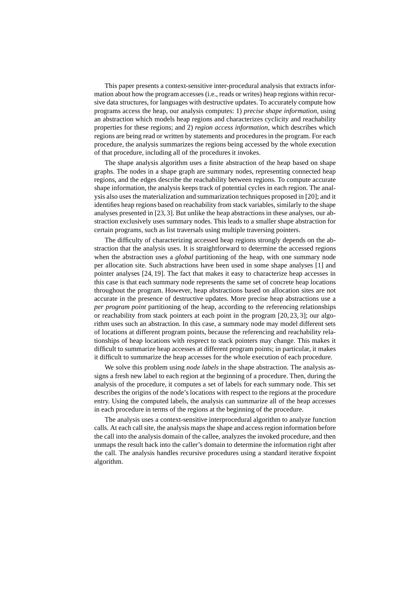This paper presents a context-sensitive inter-procedural analysis that extracts information about how the program accesses (i.e., reads or writes) heap regions within recursive data structures, for languages with destructive updates. To accurately compute how programs access the heap, our analysis computes: 1) *precise shape information*, using an abstraction which models heap regions and characterizes cyclicity and reachability properties for these regions; and 2) *region access information*, which describes which regions are being read or written by statements and proceduresin the program. For each procedure, the analysis summarizes the regions being accessed by the whole execution of that procedure, including all of the procedures it invokes.

The shape analysis algorithm uses a finite abstraction of the heap based on shape graphs. The nodes in a shape graph are summary nodes, representing connected heap regions, and the edges describe the reachability between regions. To compute accurate shape information, the analysis keeps track of potential cycles in each region. The analysis also uses the materialization and summarization techniques proposed in [20]; and it identifies heap regions based on reachability from stack variables, similarly to the shape analyses presented in [23, 3]. But unlike the heap abstractions in these analyses, our abstraction exclusively uses summary nodes. This leads to a smaller shape abstraction for certain programs, such as list traversals using multiple traversing pointers.

The difficulty of characterizing accessed heap regions strongly depends on the abstraction that the analysis uses. It is straightforward to determine the accessed regions when the abstraction uses a *global* partitioning of the heap, with one summary node per allocation site. Such abstractions have been used in some shape analyses [1] and pointer analyses [24, 19]. The fact that makes it easy to characterize heap accesses in this case is that each summary node represents the same set of concrete heap locations throughout the program. However, heap abstractions based on allocation sites are not accurate in the presence of destructive updates. More precise heap abstractions use a *per program point* partitioning of the heap, according to the referencing relationships or reachability from stack pointers at each point in the program [20, 23, 3]; our algorithm uses such an abstraction. In this case, a summary node may model different sets of locations at different program points, because the referencing and reachability relationships of heap locations with resprect to stack pointers may change. This makes it difficult to summarize heap accesses at different program points; in particular, it makes it difficult to summarize the heap accesses for the whole execution of each procedure.

We solve this problem using *node labels* in the shape abstraction. The analysis assigns a fresh new label to each region at the beginning of a procedure. Then, during the analysis of the procedure, it computes a set of labels for each summary node. This set describes the origins of the node's locations with respect to the regions at the procedure entry. Using the computed labels, the analysis can summarize all of the heap accesses in each procedure in terms of the regions at the beginning of the procedure.

The analysis uses a context-sensitive interprocedural algorithm to analyze function calls. At each call site, the analysis maps the shape and access region information before the call into the analysis domain of the callee, analyzes the invoked procedure, and then unmaps the result back into the caller's domain to determine the information right after the call. The analysis handles recursive procedures using a standard iterative fixpoint algorithm.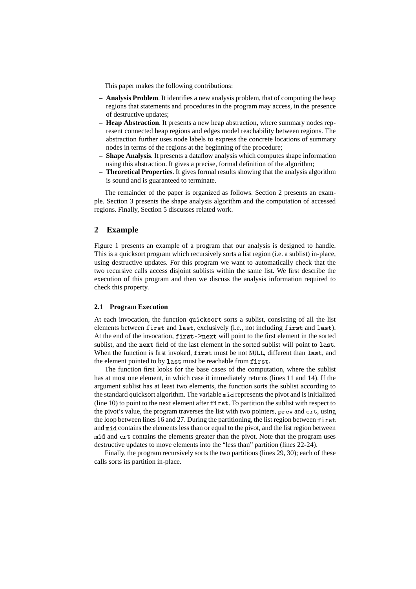This paper makes the following contributions:

- **– Analysis Problem**. It identifies a new analysis problem, that of computing the heap regions that statements and procedures in the program may access, in the presence of destructive updates;
- **– Heap Abstraction**. It presents a new heap abstraction, where summary nodes represent connected heap regions and edges model reachability between regions. The abstraction further uses node labels to express the concrete locations of summary nodes in terms of the regions at the beginning of the procedure;
- **– Shape Analysis**. It presents a dataflow analysis which computes shape information using this abstraction. It gives a precise, formal definition of the algorithm;
- **– Theoretical Properties**. It gives formal results showing that the analysis algorithm is sound and is guaranteed to terminate.

The remainder of the paper is organized as follows. Section 2 presents an example. Section 3 presents the shape analysis algorithm and the computation of accessed regions. Finally, Section 5 discusses related work.

# **2 Example**

Figure 1 presents an example of a program that our analysis is designed to handle. This is a quicksort program which recursively sorts a list region (i.e. a sublist) in-place, using destructive updates. For this program we want to automatically check that the two recursive calls access disjoint sublists within the same list. We first describe the execution of this program and then we discuss the analysis information required to check this property.

### **2.1 Program Execution**

At each invocation, the function quicks ort sorts a sublist, consisting of all the list elements between first and last, exclusively (i.e., not including first and last). At the end of the invocation, first->next will point to the first element in the sorted sublist, and the next field of the last element in the sorted sublist will point to last. When the function is first invoked, first must be not NULL, different than last, and the element pointed to by last must be reachable from first.

The function first looks for the base cases of the computation, where the sublist has at most one element, in which case it immediately returns (lines 11 and 14). If the argument sublist has at least two elements, the function sorts the sublist according to the standard quicksort algorithm. The variable mid represents the pivot and is initialized (line 10) to point to the next element after first. To partition the sublist with respect to the pivot's value, the program traverses the list with two pointers,  $prev$  and  $crt$ , using the loop between lines 16 and 27. During the partitioning, the list region between and mid contains the elements less than or equal to the pivot, and the list region between mid and crt contains the elements greater than the pivot. Note that the program uses destructive updates to move elements into the "less than" partition (lines 22-24).

Finally, the program recursively sorts the two partitions (lines 29, 30); each of these calls sorts its partition in-place.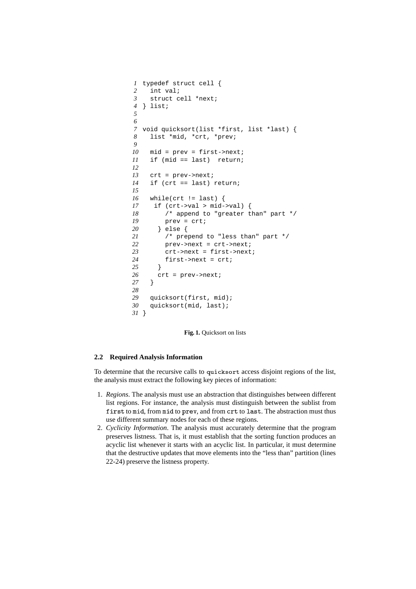```
1 typedef struct cell {
2 int val;
3 struct cell *next;
4 } list;
5
6
7 void quicksort(list *first, list *last) {
8 list *mid, *crt, *prev;
9
10 mid = prev = first->next;
11 if (mid == last) return;
12
13 crt = prev->next;
14 if (crt == last) return;
15
16 while(crt != last) {
17 if (crt->val > mid->val) {
18 /* append to "greater than" part */
19 prev = crt;
20 } else {
21 /* prepend to "less than" part */
22 prev->next = crt->next;
23 crt->next = first->next;
24 first->next = crt;
25 }
26 crt = prev->next;
27 }
28
29 quicksort(first, mid);
30 quicksort(mid, last);
31 }
```
**Fig. 1.** Quicksort on lists

### **2.2 Required Analysis Information**

To determine that the recursive calls to quicks ort access disjoint regions of the list, the analysis must extract the following key pieces of information:

- 1. *Regions*. The analysis must use an abstraction that distinguishes between different list regions. For instance, the analysis must distinguish between the sublist from first to mid, from mid to prev, and from crt to last. The abstraction must thus use different summary nodes for each of these regions.
- 2. *Cyclicity Information*. The analysis must accurately determine that the program preserves listness. That is, it must establish that the sorting function produces an acyclic list whenever it starts with an acyclic list. In particular, it must determine that the destructive updates that move elements into the "less than" partition (lines 22-24) preserve the listness property.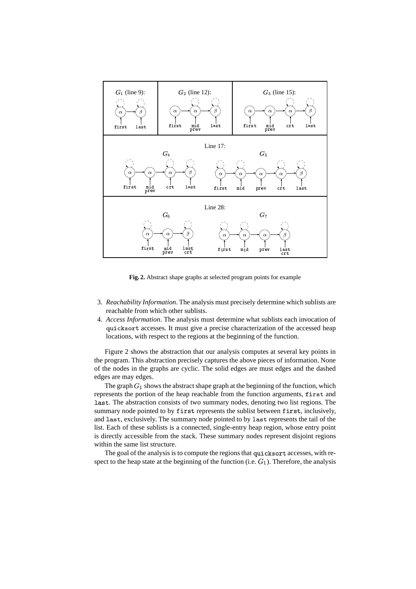

**Fig. 2.** Abstract shape graphs at selected program points for example

- 3. *Reachability Information*. The analysis must precisely determine which sublists are reachable from which other sublists.
- 4. *Access Information*. The analysis must determine what sublists each invocation of quicksort accesses. It must give a precise characterization of the accessed heap locations, with respect to the regions at the beginning of the function.

Figure 2 shows the abstraction that our analysis computes at several key points in the program. This abstraction precisely captures the above pieces of information. None of the nodes in the graphs are cyclic. The solid edges are must edges and the dashed edges are may edges.

The graph  $G_1$  shows the abstract shape graph at the beginning of the function, which represents the portion of the heap reachable from the function arguments, first and . The abstraction consists of two summary nodes, denoting two list regions. The summary node pointed to by first represents the sublist between first, inclusively, and last, exclusively. The summary node pointed to by last represents the tail of the list. Each of these sublists is a connected, single-entry heap region, whose entry point is directly accessible from the stack. These summary nodes represent disjoint regions within the same list structure.

The goal of the analysis is to compute the regions that quicksort accesses, with respect to the heap state at the beginning of the function (i.e.  $G_1$ ). Therefore, the analysis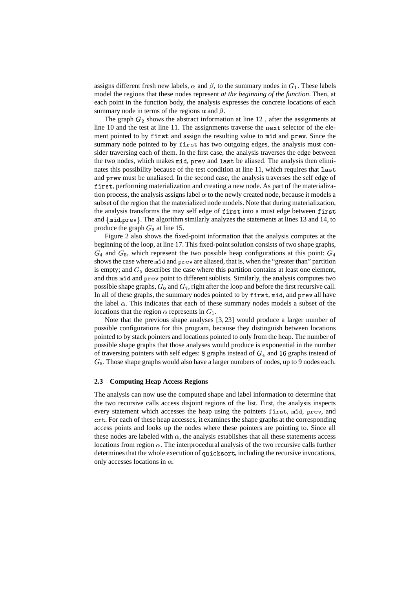assigns different fresh new labels,  $\alpha$  and  $\beta$ , to the summary nodes in  $G_1$ . These labels model the regions that these nodes represent *at the beginning of the function*. Then, at each point in the function body, the analysis expresses the concrete locations of each summary node in terms of the regions  $\alpha$  and  $\beta$ .

The graph  $G_2$  shows the abstract information at line 12, after the assignments at line 10 and the test at line 11. The assignments traverse the next selector of the element pointed to by first and assign the resulting value to mid and prev. Since the summary node pointed to by first has two outgoing edges, the analysis must consider traversing each of them. In the first case, the analysis traverses the edge between the two nodes, which makes mid, prev and last be aliased. The analysis then eliminates this possibility because of the test condition at line 11, which requires that last and prev must be unaliased. In the second case, the analysis traverses the self edge of first, performing materialization and creating a new node. As part of the materialization process, the analysis assigns label  $\alpha$  to the newly created node, because it models a subset of the region that the materialized node models. Note that during materialization, the analysis transforms the may self edge of first into a must edge between first and  $\{\text{mid}, \text{prev}\}.$  The algorithm similarly analyzes the statements at lines 13 and 14, to produce the graph  $G_3$  at line 15.

Figure 2 also shows the fixed-point information that the analysis computes at the beginning of the loop, at line 17. This fixed-point solution consists of two shape graphs,  $G_4$  and  $G_5$ , which represent the two possible heap configurations at this point:  $G_4$ shows the case where mid and prev are aliased, that is, when the "greater than" partition is empty; and  $G<sub>5</sub>$  describes the case where this partition contains at least one element, and thus mid and prev point to different sublists. Similarly, the analysis computes two possible shape graphs,  $G_6$  and  $G_7$ , right after the loop and before the first recursive call. In all of these graphs, the summary nodes pointed to by first, mid, and prev all have the label  $\alpha$ . This indicates that each of these summary nodes models a subset of the locations that the region  $\alpha$  represents in  $G_1$ .

Note that the previous shape analyses [3, 23] would produce a larger number of possible configurations for this program, because they distinguish between locations pointed to by stack pointers and locations pointed to only from the heap. The number of possible shape graphs that those analyses would produce is exponential in the number of traversing pointers with self edges: 8 graphs instead of  $G_4$  and 16 graphs instead of  $G_5$ . Those shape graphs would also have a larger numbers of nodes, up to 9 nodes each.

### **2.3 Computing Heap Access Regions**

The analysis can now use the computed shape and label information to determine that the two recursive calls access disjoint regions of the list. First, the analysis inspects every statement which accesses the heap using the pointers first, mid, prev, and . For each of these heap accesses, it examines the shape graphs at the corresponding access points and looks up the nodes where these pointers are pointing to. Since all these nodes are labeled with  $\alpha$ , the analysis establishes that all these statements access locations from region  $\alpha$ . The interprocedural analysis of the two recursive calls further determines that the whole execution of quicks ort, including the recursive invocations, only accesses locations in  $\alpha$ .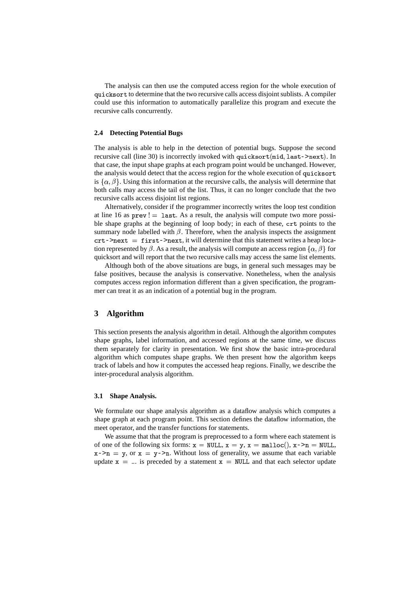The analysis can then use the computed access region for the whole execution of quicks ort to determine that the two recursive calls access disjoint sublists. A compiler could use this information to automatically parallelize this program and execute the recursive calls concurrently.

### **2.4 Detecting Potential Bugs**

The analysis is able to help in the detection of potential bugs. Suppose the second recursive call (line 30) is incorrectly invoked with  $\texttt{quicksort}(\texttt{mid}, \texttt{last-{\text{ }}\texttt{next}})$ . In that case, the input shape graphs at each program point would be unchanged. However, the analysis would detect that the access region for the whole execution of quicksort is  $\{\alpha, \beta\}$ . Using this information at the recursive calls, the analysis will determine that both calls may access the tail of the list. Thus, it can no longer conclude that the two recursive calls access disjoint list regions.

Alternatively, consider if the programmer incorrectly writes the loop test condition at line 16 as  $prev! =$  last. As a result, the analysis will compute two more possible shape graphs at the beginning of loop body; in each of these, crt points to the summary node labelled with  $\beta$ . Therefore, when the analysis inspects the assignment  $\texttt{crt}$  ->next = first->next, it will determine that this statement writes a heap location represented by  $\beta$ . As a result, the analysis will compute an access region  $\{\alpha, \beta\}$  for quicksort and will report that the two recursive calls may access the same list elements.

Although both of the above situations are bugs, in general such messages may be false positives, because the analysis is conservative. Nonetheless, when the analysis computes access region information different than a given specification, the programmer can treat it as an indication of a potential bug in the program.

### **3 Algorithm**

This section presents the analysis algorithm in detail. Although the algorithm computes shape graphs, label information, and accessed regions at the same time, we discuss them separately for clarity in presentation. We first show the basic intra-procedural algorithm which computes shape graphs. We then present how the algorithm keeps track of labels and how it computes the accessed heap regions. Finally, we describe the inter-procedural analysis algorithm.

### **3.1 Shape Analysis.**

We formulate our shape analysis algorithm as a dataflow analysis which computes a shape graph at each program point. This section defines the dataflow information, the meet operator, and the transfer functions for statements.

We assume that that the program is preprocessed to a form where each statement is of one of the following six forms:  $x = NULL$ ,  $x = y$ ,  $x = \text{mall} \circ ($ ,  $x \rightarrow n = NULL$ ,  $x \rightarrow n = y$ , or  $x = y \rightarrow n$ . Without loss of generality, we assume that each variable update  $x = ...$  is preceded by a statement  $x = NULL$  and that each selector update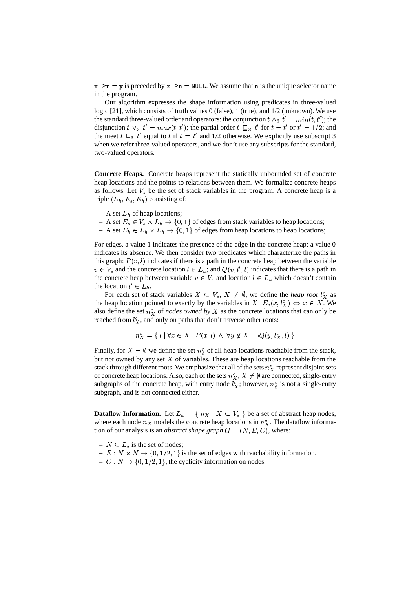$x \rightarrow n = y$  is preceded by  $x \rightarrow n = NULL$ . We assume that n is the unique selector name in the program.

Our algorithm expresses the shape information using predicates in three-valued logic [21], which consists of truth values 0 (false), 1 (true), and  $1/2$  (unknown). We use the standard three-valued order and operators: the conjunction  $t \wedge_3 t' = min(t, t')$ ; the disjunction  $t \vee_3 t' = max(t, t')$ ; the partial order  $t \subseteq_3 t'$  for  $t = t'$  or  $t' = 1/2$ ; and the meet  $t \sqcup_3 t'$  equal to  $t$  if  $t = t'$  and  $1/2$  otherwise. We explicitly use subscript 3 when we refer three-valued operators, and we don't use any subscripts for the standard, two-valued operators.

**Concrete Heaps.** Concrete heaps represent the statically unbounded set of concrete heap locations and the points-to relations between them. We formalize concrete heaps as follows. Let  $V_s$  be the set of stack variables in the program. A concrete heap is a triple  $(L_h, E_s, E_h)$  consisting of:

- $-$  A set  $L<sub>h</sub>$  of heap locations;
- $-$  A set  $E_s \in V_s \times L_h \rightarrow \{0,1\}$  of edges from stack variables to heap locations;
- $-$  A set  $E_h \in L_h \times L_h \rightarrow \{0, 1\}$  of edges from heap locations to heap locations;

For edges, a value 1 indicates the presence of the edge in the concrete heap; a value 0 indicates its absence. We then consider two predicates which characterize the paths in this graph:  $P(v, l)$  indicates if there is a path in the concrete heap between the variable  $v \in V_s$  and the concrete location  $l \in L_h$ ; and  $Q(v, l', l)$  indicates that there is a path in the concrete heap between variable  $v \in V_s$  and location  $l \in L_h$  which doesn't contain the location  $l' \in L_h$ .

For each set of stack variables  $X \subseteq V_s$ ,  $X \neq \emptyset$ , we define the *heap root*  $l_X^c$  as the heap location pointed to exactly by the variables in  $X: E_s(x, l_X^c) \Leftrightarrow x \in X$ . We also define the set  $n_X^c$  of *nodes owned by* X as the concrete locations that can only be reached from  $l_X^c$ , and only on paths that don't traverse other roots:

$$
n_X^c = \{ l \mid \forall x \in X \,.\, P(x, l) \land \forall y \notin X \,.\, \neg Q(y, l_X^c, l) \}
$$

Finally, for  $X = \emptyset$  we define the set  $n_{\phi}^{c}$  of all heap locations reachable from the stack, but not owned by any set  $X$  of variables. These are heap locations reachable from the stack through different roots. We emphasize that all of the sets  $n_X^c$  represent disjoint sets of concrete heap locations. Also, each of the sets  $n_x^c$ ,  $X \neq \emptyset$  are connected, single-entry subgraphs of the concrete heap, with entry node  $l_X^c$ ; however,  $n_{\phi}^c$  is not a single-entry subgraph, and is not connected either.

**Dataflow Information.** Let  $L_a = \{ n_X \mid X \subseteq V_s \}$  be a set of abstract heap nodes, where each node  $n_X$  models the concrete heap locations in  $n_X^c$ . The dataflow information of our analysis is an *abstract shape* graph  $G = (N, E, C)$ , where:

- $N \subseteq L_a$  is the set of nodes;
- $E : N \times N \to \{0, 1/2, 1\}$  is the set of edges with reachability information.
- $C : N \to \{0, 1/2, 1\}$ , the cyclicity information on nodes.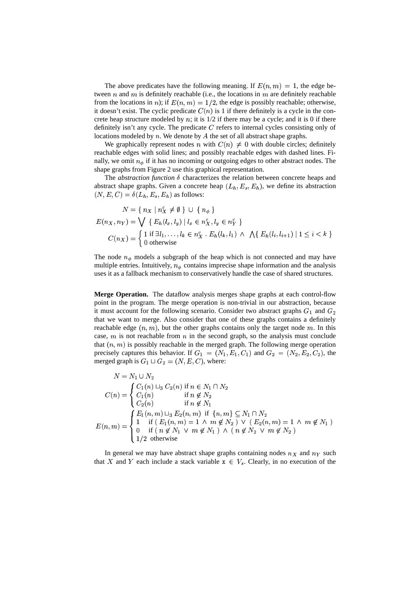The above predicates have the following meaning. If  $E(n, m) = 1$ , the edge between *n* and *m* is definitely reachable (i.e., the locations in *m* are definitely reachable from the locations in *n*); if  $E(n, m) = 1/2$ , the edge is possibly reachable; otherwise, it doesn't exist. The cyclic predicate  $C(n)$  is 1 if there definitely is a cycle in the concrete heap structure modeled by  $n$ ; it is  $1/2$  if there may be a cycle; and it is 0 if there definitely isn't any cycle. The predicate  $C$  refers to internal cycles consisting only of locations modeled by  $n$ . We denote by  $A$  the set of all abstract shape graphs.

We graphically represent nodes n with  $C(n) \neq 0$  with double circles; definitely reachable edges with solid lines; and possibly reachable edges with dashed lines. Finally, we omit  $n_{\phi}$  if it has no incoming or outgoing edges to other abstract nodes. The shape graphs from Figure 2 use this graphical representation.

The *abstraction* function  $\delta$  characterizes the relation between concrete heaps and abstract shape graphs. Given a concrete heap  $(L_h, E_s, E_h)$ , we define its abstraction  $(N, E, C) = \delta(L_h, E_s, E_h)$  as follows:

$$
N = \{ n_X \mid n_X^c \neq \emptyset \} \cup \{ n_{\phi} \}
$$
  
\n
$$
E(n_X, n_Y) = \bigvee \{ E_h(l_x, l_y) \mid l_x \in n_X^c, l_y \in n_Y^c \}
$$
  
\n
$$
C(n_X) = \begin{cases} 1 \text{ if } \exists l_1, \dots, l_k \in n_X^c \cdot E_h(l_k, l_1) \land \bigwedge \{ E_h(l_i, l_{i+1}) \mid 1 \le i < k \} \\ 0 \text{ otherwise} \end{cases}
$$

The node  $n_{\phi}$  models a subgraph of the heap which is not connected and may have multiple entries. Intuitively,  $n_{\phi}$  contains imprecise shape information and the analysis uses it as a fallback mechanism to conservatively handle the case of shared structures.

**Merge Operation.** The dataflow analysis merges shape graphs at each control-flow point in the program. The merge operation is non-trivial in our abstraction, because it must account for the following scenario. Consider two abstract graphs  $G_1$  and  $G_2$ that we want to merge. Also consider that one of these graphs contains a definitely reachable edge  $(n, m)$ , but the other graphs contains only the target node m. In this case,  $m$  is not reachable from  $n$  in the second graph, so the analysis must conclude that  $(n, m)$  is possibly reachable in the merged graph. The following merge operation precisely captures this behavior. If  $G_1 = (N_1, E_1, C_1)$  and  $G_2 = (N_2, E_2, C_2)$ , the merged graph is  $G_1 \sqcup G_2 = (N, E, C)$ , where:

$$
N = N_1 \cup N_2
$$
  
\n
$$
C(n) = \begin{cases} C_1(n) \cup_3 C_2(n) & \text{if } n \in N_1 \cap N_2 \\ C_1(n) & \text{if } n \notin N_2 \\ C_2(n) & \text{if } n \notin N_1 \end{cases}
$$
  
\n
$$
E(n,m) = \begin{cases} E_1(n,m) \cup_3 E_2(n,m) & \text{if } \{n,m\} \subseteq N_1 \cap N_2 \\ 1 & \text{if } (E_1(n,m) = 1 \land m \notin N_2) \lor (E_2(n,m) = 1 \land m \notin N_1) \\ 0 & \text{if } (n \notin N_1 \lor m \notin N_1) \land (n \notin N_2 \lor m \notin N_2) \end{cases}
$$

In general we may have abstract shape graphs containing nodes  $n<sub>X</sub>$  and  $n<sub>Y</sub>$  such that X and Y each include a stack variable  $x \in V_s$ . Clearly, in no execution of the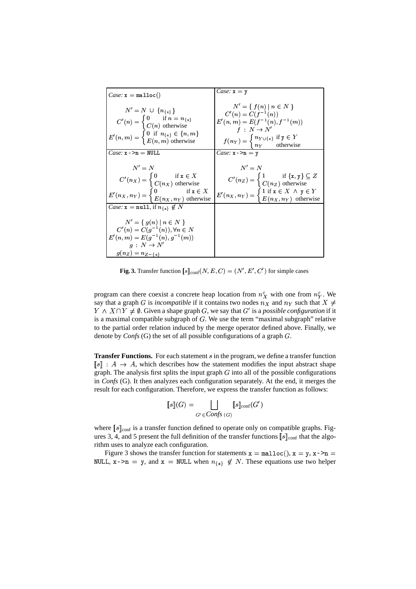| $Case: \mathbf{x} = \text{malloc}()$                                                                                                                                                                                                                                                                                                                                                                                                                                                       | <i>Case</i> : $x = y$                                                                                                                                                                                                             |  |
|--------------------------------------------------------------------------------------------------------------------------------------------------------------------------------------------------------------------------------------------------------------------------------------------------------------------------------------------------------------------------------------------------------------------------------------------------------------------------------------------|-----------------------------------------------------------------------------------------------------------------------------------------------------------------------------------------------------------------------------------|--|
| $N' = N \cup \{n_{\{\mathbf{x}\}}\}\$<br>$C'(n) = \begin{cases} 0 & \text{if } n = n_{\{\mathbf{x}\}} \\ C(n) & \text{otherwise} \end{cases}$<br>$E'(n, m) = \begin{cases} 0 \text{ if } n_{\{x\}} \in \{n, m\} \\ E(n, m) \text{ otherwise} \end{cases}$                                                                                                                                                                                                                                  | $N' = \{ f(n)   n \in N \}$<br>$C'(n) = C(f^{-1}(n))$<br>$E'(n,m) = E(f^{-1}(n), f^{-1}(m))$<br>$f\colon\thinspace N\to N'$<br>$f(n_Y) = \begin{cases} n_{Y\cup\{x\}} & \text{if } y \in Y \\ n_Y & \text{otherwise} \end{cases}$ |  |
| <i>Case</i> : $x \rightarrow n = NULL$                                                                                                                                                                                                                                                                                                                                                                                                                                                     | <i>Case</i> : $x \rightarrow n = y$                                                                                                                                                                                               |  |
| $N' = N$<br>$C'(n_X) = \begin{cases} 0 & \text{if } \mathbf{x} \in X \\ C(n_X) & \text{otherwise} \end{cases}$ $E'(n_X, n_Y) = \begin{cases} 0 & \text{if } \mathbf{x} \in X \\ C(n_Z) & \text{otherwise} \end{cases}$ $E'(n_X, n_Y) = \begin{cases} 1 & \text{if } \{ \mathbf{x}, \mathbf{y} \} \subseteq Z \\ C(n_Z) & \text{otherwise} \end{cases}$ $E'(n_X, n_Y) = \begin{cases} 1 & \text{if } \mathbf{x} \in X \land \mathbf{y} \in Y \\ E(n_X, n_Y) & \text{otherwise} \end{cases}$ | $N' = N$                                                                                                                                                                                                                          |  |
| <i>Case:</i> $\mathbf{x} = \texttt{null}, \text{if } n_{\{\mathbf{x}\}} \notin N$<br>$N' = \{ g(n)   n \in N \}$<br>$C'(n) = C(g^{-1}(n)), \forall n \in N$<br>$E'(n, m) = E(g^{-1}(n), g^{-1}(m))$<br>$q: N \to N'$<br>$g(n_Z) = n_{Z-\{x\}}$                                                                                                                                                                                                                                             |                                                                                                                                                                                                                                   |  |

**Fig. 3.** Transfer function  $\llbracket s \rrbracket_{\text{conf}}(N, E, C) = (N', E', C')$  for simple cases

program can there coexist a concrete heap location from  $n_X^c$  with one from  $n_Y^c$ . We say that a graph G is *incompatible* if it contains two nodes  $n<sub>X</sub>$  and  $n<sub>Y</sub>$  such that  $X \neq$  $Y \wedge X \cap Y \neq \emptyset$ . Given a shape graph G, we say that G' is a *possible configuration* if it is a maximal compatible subgraph of  $G$ . We use the term "maximal subgraph" relative to the partial order relation induced by the merge operator defined above. Finally, we denote by *Confs* (G) the set of all possible configurations of a graph  $G$ .

**Transfer Functions.** For each statement s in the program, we define a transfer function  $\llbracket s \rrbracket$ :  $A \rightarrow A$ , which describes how the statement modifies the input abstract shape graph. The analysis first splits the input graph  $G$  into all of the possible configurations in *Confs* (G). It then analyzes each configuration separately. At the end, it merges the result for each configuration. Therefore, we express the transfer function as follows:

$$
[\![s]\!](G) = \bigsqcup_{G' \in Confs(G)} [s]\!_{conf}(G')
$$

where  $[s]_{\text{conf}}$  is a transfer function defined to operate only on compatible graphs. Figures 3, 4, and 5 present the full definition of the transfer functions  $\llbracket s \rrbracket_{\text{conf}}$  that the algorithm uses to analyze each configuration.

Figure 3 shows the transfer function for statements  $x = \text{malloc}($ ,  $x = y, x \rightarrow n =$ NULL,  $x \rightarrow n = y$ , and  $x =$  NULL when  $n_{\{x\}} \notin N$ . These equations use two helper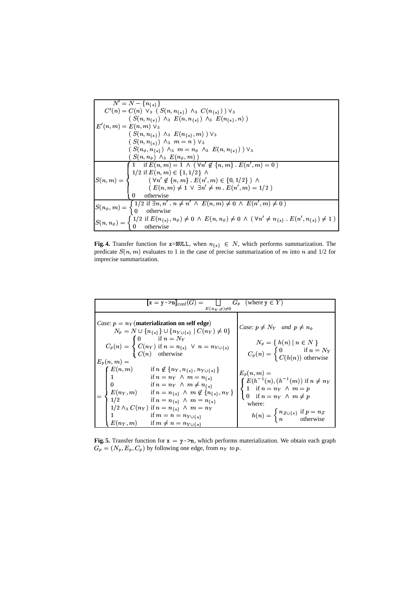| $\overline{N' = N} - \{n_{\{x\}}\}\$                                                                                                                                                                                                                |
|-----------------------------------------------------------------------------------------------------------------------------------------------------------------------------------------------------------------------------------------------------|
| $C'(n) = C(n) \vee_3 (S(n, n_{\{x\}}) \wedge_3 C(n_{\{x\}})) \vee_3$                                                                                                                                                                                |
| $(S(n, n_{\{x\}}) \wedge_3 E(n, n_{\{x\}}) \wedge_3 E(n_{\{x\}}, n))$                                                                                                                                                                               |
| $E'(n, m) = E(n, m) V_3$                                                                                                                                                                                                                            |
| $(S(n, n_{\{x\}}) \wedge s \ E(n_{\{x\}}, m)) \vee s$                                                                                                                                                                                               |
| $(S(n, n_{\{x\}})$ $\wedge_3$ $m = n)$ $\vee_3$                                                                                                                                                                                                     |
| $(S(n_\phi, n_{\{\mathbf{x}\}}) \land_3 m = n_\phi \land_3 E(n, n_{\{\mathbf{x}\}})) \lor_3$                                                                                                                                                        |
| $S(n, n_{\phi})$ $\wedge$ <sub>3</sub> $E(n_{\phi}, m)$ )                                                                                                                                                                                           |
| 1 if $E(n, m) = 1 \wedge (\forall n' \notin \{n, m\} \cdot E(n', m) = 0)$                                                                                                                                                                           |
| $1/2$ if $E(n, m) \in \{1, 1/2\}$ $\wedge$                                                                                                                                                                                                          |
| $S(n,m) = \{$ $\forall n' \notin \{n,m\} \cdot E(n',m) \in \{0,1/2\} \setminus \Lambda$                                                                                                                                                             |
| $(E(n, m) \neq 1 \vee \exists n' \neq m \cdot E(n', m) = 1/2)$                                                                                                                                                                                      |
| $\Omega$<br>otherwise                                                                                                                                                                                                                               |
| $S(n_\phi,m) = \left\{ \begin{matrix} 1 \overline{/2 \text{ if } \exists n,n' \text{ . } n \neq n' \text{ }\wedge \text{ } E(n,m) \neq 0 \text{ }\wedge \text{ } E(n',m) \neq 0 \text{ })} \\ 0 \hspace{5mm} \text{otherwise} \end{matrix} \right.$ |
|                                                                                                                                                                                                                                                     |
| $S(n, n_{\phi}) = \begin{cases} 1/2 \text{ if } E(n_{\{x\}}, n_{\phi}) \neq 0 \; \wedge \; E(n, n_{\phi}) \neq 0 \; \wedge \; (\forall n' \neq n_{\{x\}} \cdot E(n', n_{\{x\}}) \neq 1) \\ 0 \quad \text{otherwise} \end{cases}$                    |
| otherwise                                                                                                                                                                                                                                           |

**Fig. 4.** Transfer function for  $x = NULL$ , when  $n_{\{x\}} \in N$ , which performs summarization. The predicate  $S(n, m)$  evaluates to 1 in the case of precise summarization of m into n and  $1/2$  for imprecise summarization.

| $\ x = y - \ge n\ _{conf}(G) =$     $G_p$ (where $y \in Y$ )<br>$E(n_Y, p) \neq 0$                                                                                                                                                                                                                                                                                                                                                                                                                                                                                                                                       |                                                                                                                                                                       |  |  |
|--------------------------------------------------------------------------------------------------------------------------------------------------------------------------------------------------------------------------------------------------------------------------------------------------------------------------------------------------------------------------------------------------------------------------------------------------------------------------------------------------------------------------------------------------------------------------------------------------------------------------|-----------------------------------------------------------------------------------------------------------------------------------------------------------------------|--|--|
| <i>Case:</i> $p = n_Y$ (materialization on self edge)<br>$N_p = N \cup \{n_{\{x\}}\} \cup \{n_{Y \cup \{x\}} \mid C(n_Y) \neq 0\}$<br>$C_p(n) = \begin{cases} 0 & \text{if } n = N_Y \\ C(n_Y) & \text{if } n = n_{\{x\}} \\ C(n) & \text{otherwise} \end{cases}$ $\lor n = n_{Y \cup \{x\}}$<br>$E_p(n,m) =$                                                                                                                                                                                                                                                                                                            | Case: $p \neq N_Y$ and $p \neq n_{\phi}$<br>$N_p = \{ h(n)   n \in N \}$<br>$C_p(n) = \begin{cases} 0 & \text{if } n = N_Y \\ C(h(n)) & \text{otherwise} \end{cases}$ |  |  |
| $\left[ \begin{array}{lllllllllllllllllllllllllllllllllllllllllll} E(n,m) & \text{if } n \not\in \{n_Y,n_{\{x\}},n_{Y\cup\{x\}}\} & \\ 1 & \text{if } n=n_Y \ \wedge \ m=n_{\{x\}} & \\ 0 & \text{if } n=n_Y \ \wedge \ m \neq n_{\{x\}} & \\ E(n_Y,m) & \text{if } n=n_{\{x\}} \ \wedge \ m \not\in \{n_{\{x\}},n_{Y}\} & \\ 1/2 & \text{if } n=n_{\{x\}} \ \wedge \ m=n_{\{x\}} & \\ \end{array} \right] \left\{ \begin{array$<br>$1/2 \wedge_3 C(n_Y)$ if $n = n_{\{x\}} \wedge m = n_Y$<br>$\begin{cases} 1 & \text{if } m = n = n_{Y \cup \{x\}} \\ E(n_Y, m) & \text{if } m \neq n = n_{Y \cup \{x\}} \end{cases}$ | where:<br>$h(n) = \begin{cases} n_{Z \cup \{x\}} & \text{if } p = n_Z \\ n & \text{otherwise} \end{cases}$                                                            |  |  |

**Fig. 5.** Transfer function for  $\mathbf{x} = \mathbf{y} - \infty \mathbf{n}$ , which performs materialization. We obtain each graph  $G_p = (N_p, E_p, C_p)$  by following one edge, from  $n_Y$  to p.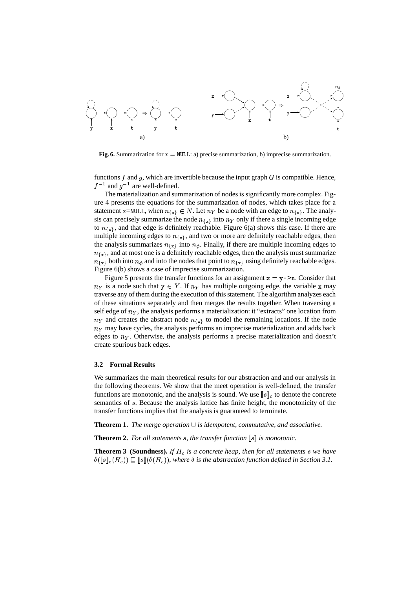

**Fig. 6.** Summarization for  $x = NULL$ : a) precise summarization, b) imprecise summarization.

functions  $f$  and  $g$ , which are invertible because the input graph  $G$  is compatible. Hence,  $f^{-1}$  and  $g^{-1}$  are well-defined.

The materialization and summarization of nodes is significantly more complex. Figure 4 presents the equations for the summarization of nodes, which takes place for a statement x=NULL, when  $n_{\{\mathbf{x}\}} \in N$ . Let  $n_Y$  be a node with an edge to  $n_{\{\mathbf{x}\}}$ . The analysis can precisely summarize the node  $n_{\{\mathbf{x}\}}$  into  $n_Y$  only if there a single incoming edge to  $n_{\{\mathbf{x}\}}$ , and that edge is definitely reachable. Figure 6(a) shows this case. If there are multiple incoming edges to  $n_{\{x\}}$ , and two or more are definitely reachable edges, then the analysis summarizes  $n_{\{x\}}$  into  $n_{\phi}$ . Finally, if there are multiple incoming edges to  $n_{\{\mathbf{x}\}}$ , and at most one is a definitely reachable edges, then the analysis must summarize  $n_{\{\mathbf{x}\}}$  both into  $n_{\phi}$  and into the nodes that point to  $n_{\{\mathbf{x}\}}$  using definitely reachable edges. Figure 6(b) shows a case of imprecise summarization.

Figure 5 presents the transfer functions for an assignment  $x = y \rightarrow n$ . Consider that  $n_Y$  is a node such that  $y \in Y$ . If  $n_Y$  has multiple outgoing edge, the variable x may traverse any of them during the execution of this statement. The algorithm analyzes each of these situations separately and then merges the results together. When traversing a self edge of  $n_Y$ , the analysis performs a materialization: it "extracts" one location from  $n_Y$  and creates the abstract node  $n_{\{x\}}$  to model the remaining locations. If the node  $n<sub>Y</sub>$  may have cycles, the analysis performs an imprecise materialization and adds back edges to  $n<sub>Y</sub>$ . Otherwise, the analysis performs a precise materialization and doesn't create spurious back edges.

#### **3.2 Formal Results**

We summarizes the main theoretical results for our abstraction and and our analysis in the following theorems. We show that the meet operation is well-defined, the transfer functions are monotonic, and the analysis is sound. We use  $\llbracket s \rrbracket_c$  to denote the concrete semantics of s. Because the analysis lattice has finite height, the monotonicity of the transfer functions implies that the analysis is guaranteed to terminate.

**Theorem 1.** *The merge operation is idempotent, commutative, and associative.*

**Theorem 2.** For all statements  $s$ , the transfer function  $\llbracket s \rrbracket$  is monotonic.

**Theorem 3** (Soundness). If  $H_c$  is a concrete heap, then for all statements  $s$  we have  $\delta(\llbracket s \rrbracket_c(H_c)) \sqsubseteq \llbracket s \rrbracket(\delta(H_c)),$  where  $\delta$  is the abstraction function defined in Section 3.1.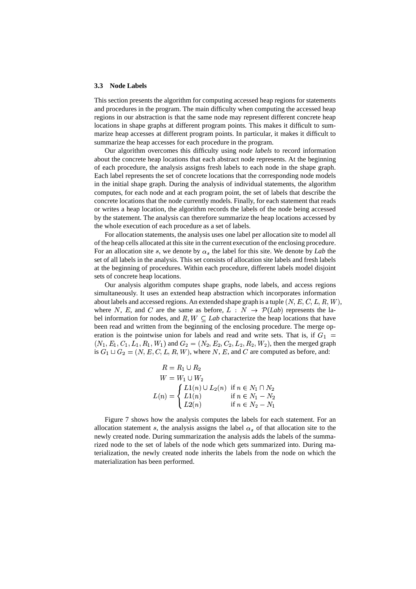#### **3.3 Node Labels**

This section presents the algorithm for computing accessed heap regions for statements and procedures in the program. The main difficulty when computing the accessed heap regions in our abstraction is that the same node may represent different concrete heap locations in shape graphs at different program points. This makes it difficult to summarize heap accesses at different program points. In particular, it makes it difficult to summarize the heap accesses for each procedure in the program.

Our algorithm overcomes this difficulty using *node labels* to record information about the concrete heap locations that each abstract node represents. At the beginning of each procedure, the analysis assigns fresh labels to each node in the shape graph. Each label represents the set of concrete locations that the corresponding node models in the initial shape graph. During the analysis of individual statements, the algorithm computes, for each node and at each program point, the set of labels that describe the concrete locations that the node currently models. Finally, for each statement that reads or writes a heap location, the algorithm records the labels of the node being accessed by the statement. The analysis can therefore summarize the heap locations accessed by the whole execution of each procedure as a set of labels.

For allocation statements, the analysis uses one label per allocation site to model all of the heap cells allocated at this site in the current execution of the enclosing procedure. For an allocation site s, we denote by  $\alpha_s$  the label for this site. We denote by *Lab* the set of all labels in the analysis. This set consists of allocation site labels and fresh labels at the beginning of procedures. Within each procedure, different labels model disjoint sets of concrete heap locations.

Our analysis algorithm computes shape graphs, node labels, and access regions simultaneously. It uses an extended heap abstraction which incorporates information about labels and accessed regions. An extended shape graph is a tuple  $(N, E, C, L, R, W)$ , where N, E, and C are the same as before,  $L : N \rightarrow \mathcal{P}(Lab)$  represents the label information for nodes, and  $R, W \subseteq Lab$  characterize the heap locations that have been read and written from the beginning of the enclosing procedure. The merge operation is the pointwise union for labels and read and write sets. That is, if  $G_1$  =  $(N_1, E_1, C_1, L_1, R_1, W_1)$  and  $G_2 = (N_2, E_2, C_2, L_2, R_2, W_2)$ , then the merged graph is  $G_1 \sqcup G_2 = (N, E, C, L, R, W)$ , where N, E, and C are computed as before, and:

$$
R = R_1 \cup R_2
$$
  
\n
$$
W = W_1 \cup W_2
$$
  
\n
$$
L(n) = \begin{cases} L1(n) \cup L_2(n) & \text{if } n \in N_1 \cap N_2 \\ L1(n) & \text{if } n \in N_1 - N_2 \\ L2(n) & \text{if } n \in N_2 - N_1 \end{cases}
$$

Figure 7 shows how the analysis computes the labels for each statement. For an allocation statement s, the analysis assigns the label  $\alpha_s$  of that allocation site to the newly created node. During summarization the analysis adds the labels of the summarized node to the set of labels of the node which gets summarized into. During materialization, the newly created node inherits the labels from the node on which the materialization has been performed.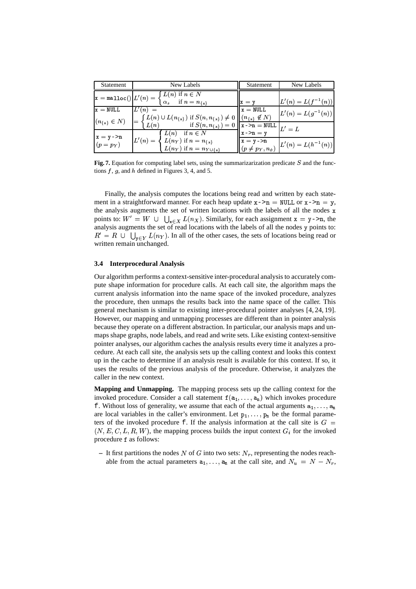| Statement                                            | New Labels                                                                                                                                                                                                                                                                                                                                                                                                                                            | Statement               | New Labels                                                                                                               |
|------------------------------------------------------|-------------------------------------------------------------------------------------------------------------------------------------------------------------------------------------------------------------------------------------------------------------------------------------------------------------------------------------------------------------------------------------------------------------------------------------------------------|-------------------------|--------------------------------------------------------------------------------------------------------------------------|
|                                                      | $\vert {\tt x} = {\tt malloc}() \big\vert L'(n) = \Big\{ \frac{L(n) \text{ if } n \in N}{n} \Big\}$<br>if $n = n_{\{x\}}$<br>$\alpha_s$                                                                                                                                                                                                                                                                                                               | $x = y$                 | $ L'(n) = L(f^{-1}(n)) $                                                                                                 |
| $x = NULL$                                           | $\bar{L}'(n) =$                                                                                                                                                                                                                                                                                                                                                                                                                                       | $x = NULL$              | $L'(n) = L(g^{-1}(n))$                                                                                                   |
| $(n_{\{x\}} \in N)$                                  | $\left\{\n\begin{array}{l} n_{1} = 0\\ \int L(n) \cup L(n_{\{x\}}) \text{ if } S(n, n_{\{x\}}) \neq 0\\ \text{ if } \frac{S(n, n_{\{x\}}) = 0}{S(n_{\{x\}}) = 0}\n\end{array}\n\right.\n\right\ \n\left.\n\begin{array}{l}\n\left.\n\begin{array}{l}\n\left.\n\right  \left.\n\right  \neq N\n\end{array}\right\}\n\right\  \xrightarrow{\iota \quad \text{(v)} - \iota} \n\left.\n\left.\n\right  \left.\n\left.\n\right  \left.\n\right  \left.\n\$ |                         |                                                                                                                          |
|                                                      |                                                                                                                                                                                                                                                                                                                                                                                                                                                       |                         |                                                                                                                          |
|                                                      | $\lceil L(n) \rceil$ if $n \in N$                                                                                                                                                                                                                                                                                                                                                                                                                     | $x \rightarrow -\infty$ |                                                                                                                          |
| $\begin{cases} x = y - > n \\ (p = p_Y) \end{cases}$ | $L'(n) = \begin{cases} L(n_Y) & \text{if } n = n_{\{x\}} \\ L(n_Y) & \text{if } n = n_{Y \cup \{x\}} \end{cases}$                                                                                                                                                                                                                                                                                                                                     |                         |                                                                                                                          |
|                                                      |                                                                                                                                                                                                                                                                                                                                                                                                                                                       |                         | $\begin{vmatrix} x = y - \n\end{vmatrix}$<br>$\begin{vmatrix} p \neq p_Y, n_{\phi} \end{vmatrix}$ $L'(n) = L(h^{-1}(n))$ |

Fig. 7. Equation for computing label sets, using the summarizarization predicate  $S$  and the functions  $f$ ,  $g$ , and  $h$  defined in Figures 3, 4, and 5.

Finally, the analysis computes the locations being read and written by each statement in a straightforward manner. For each heap update  $x \rightarrow n = NULL$  or  $x \rightarrow n = y$ , the analysis augments the set of written locations with the labels of all the nodes points to:  $W' = W \cup \bigcup_{x \in X} L(n_X)$ . Similarly, for each assignment  $x = y - \infty$ , the analysis augments the set of read locations with the labels of all the nodes y points to:  $R' = R \cup \bigcup_{\pi \in V} L(n_Y)$ . In all of the other cases, the sets of locations being read or written remain unchanged.

### **3.4 Interprocedural Analysis**

Our algorithm performs a context-sensitive inter-procedural analysis to accurately compute shape information for procedure calls. At each call site, the algorithm maps the current analysis information into the name space of the invoked procedure, analyzes the procedure, then unmaps the results back into the name space of the caller. This general mechanism is similar to existing inter-procedural pointer analyses [4, 24, 19]. However, our mapping and unmapping processes are different than in pointer analysis because they operate on a different abstraction. In particular, our analysis maps and unmaps shape graphs, node labels, and read and write sets. Like existing context-sensitive pointer analyses, our algorithm caches the analysis results every time it analyzes a procedure. At each call site, the analysis sets up the calling context and looks this context up in the cache to determine if an analysis result is available for this context. If so, it uses the results of the previous analysis of the procedure. Otherwise, it analyzes the caller in the new context.

**Mapping and Unmapping.** The mapping process sets up the calling context for the invoked procedure. Consider a call statement  $f(a_1, \ldots, a_n)$  which invokes procedure f. Without loss of generality, we assume that each of the actual arguments  $a_1, \ldots, a_n$ are local variables in the caller's environment. Let  $p_1, \ldots, p_n$  be the formal parameters of the invoked procedure f. If the analysis information at the call site is  $G =$  $(N, E, C, L, R, W)$ , the mapping process builds the input context  $G_i$  for the invoked procedure f as follows:

– It first partitions the nodes N of G into two sets:  $N_r$ , representing the nodes reachable from the actual parameters  $a_1, \ldots, a_n$  at the call site, and  $N_u = N - N_r$ ,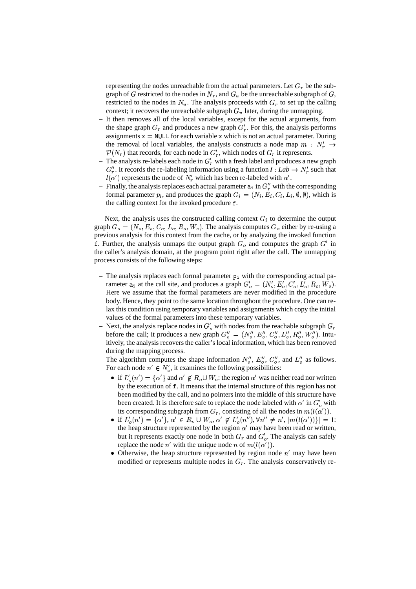representing the nodes unreachable from the actual parameters. Let  $G_r$  be the subgraph of G restricted to the nodes in  $N_r$ , and  $G_u$  be the unreachable subgraph of G, restricted to the nodes in  $N_u$ . The analysis proceeds with  $G_r$  to set up the calling context; it recovers the unreachable subgraph  $G_u$  later, during the unmapping.

- **–** It then removes all of the local variables, except for the actual arguments, from the shape graph  $G_r$  and produces a new graph  $G'_r$ . For this, the analysis performs assignments  $x = NULL$  for each variable  $x$  which is not an actual parameter. During the removal of local variables, the analysis constructs a node map  $m: N'_r \to$  $\mathcal{P}(N_r)$  that records, for each node in  $G'_r$ , which nodes of  $G_r$  it represents.
- $-$  The analysis re-labels each node in  $G'_{r}$  with a fresh label and produces a new graph  $G''_r$ . It records the re-labeling information using a function  $l: Lab \rightarrow N'_r$  such that  $l(\alpha')$  represents the node of  $N'_r$  which has been re-labeled with  $\alpha'$ .
- $-$  Finally, the analysis replaces each actual parameter  $a_i$  in  $G''_r$  with the corresponding formal parameter  $p_i$ , and produces the graph  $G_i = (N_i, E_i, C_i, L_i, \emptyset, \emptyset)$ , which is the calling context for the invoked procedure f.

Next, the analysis uses the constructed calling context  $G_i$  to determine the output graph  $G_o = (N_o, E_o, C_o, L_o, R_o, W_o)$ . The analysis computes  $G_o$  either by re-using a previous analysis for this context from the cache, or by analyzing the invoked function f. Further, the analysis unmaps the output graph  $G<sub>o</sub>$  and computes the graph  $G'$  in the caller's analysis domain, at the program point right after the call. The unmapping process consists of the following steps:

- The analysis replaces each formal parameter  $p_i$  with the corresponding actual parameter  $a_i$  at the call site, and produces a graph  $G'_o = (N'_o, E'_o, C'_o, L'_o, R_o, W_o)$ . Here we assume that the formal parameters are never modified in the procedure body. Hence, they point to the same location throughout the procedure. One can relax this condition using temporary variables and assignments which copy the initial values of the formal parameters into these temporary variables.
- $-$  Next, the analysis replace nodes in  $G'_{\rho}$  with nodes from the reachable subgraph  $G_r$ before the call; it produces a new graph  $G''_o = (N''_o, E''_o, C''_o, L''_o, R''_o, W''_o)$ . Intuitively, the analysis recovers the caller's local information, which has been removed during the mapping process.

The algorithm computes the shape information  $N_0''$ ,  $E_0''$ ,  $C_0''$ , and  $L_0''$  as follows. For each node  $n' \in N'_o$ , it examines the following possibilities:

- if  $L'_o(n') = {\alpha'}$  and  $\alpha' \notin R_o \cup W_o$ : the region  $\alpha'$  was neither read nor written by the execution of f. It means that the internal structure of this region has not been modified by the call, and no pointers into the middle of this structure have been created. It is therefore safe to replace the node labeled with  $\alpha'$  in  $G'_{\alpha}$  with its corresponding subgraph from  $G_r$ , consisting of all the nodes in  $m(l(\alpha'))$ .
- if  $L'_o(n') = {\alpha'}$ ,  $\alpha' \in R_o \cup W_o$ ,  $\alpha' \notin L'_o(n'')$ ,  $\forall n'' \neq n'$ ,  $|m(l(\alpha'))\}| = 1$ : the heap structure represented by the region  $\alpha'$  may have been read or written, but it represents exactly one node in both  $G_r$  and  $G'_o$ . The analysis can safely replace the node n' with the unique node n of  $m(l(\alpha'))$ .
- Otherwise, the heap structure represented by region node  $n'$  may have been modified or represents multiple nodes in  $G_r$ . The analysis conservatively re-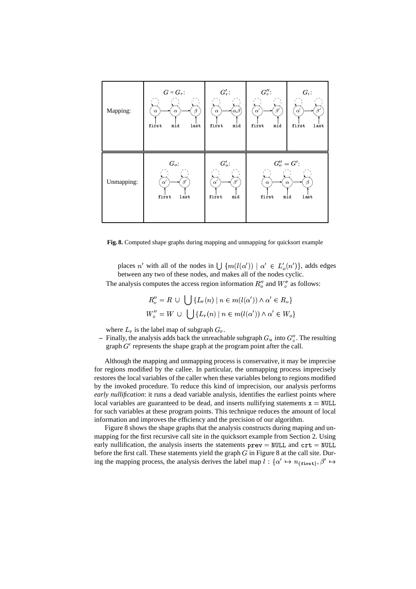| Mapping:   | $G=G_r$ :<br>ß<br>$\alpha$<br>$\alpha$<br>first<br>last<br>mid | $G'_r$ :<br><b>ニュ</b><br>$\left( \alpha ,\beta \right)$<br>$\alpha$<br>first<br>mid | $G_r''$ :<br>$\mathbf{v}$<br>$\beta'$<br>$\alpha'$<br>first<br>mid | $G_i$ :<br>$\alpha'$<br>ß<br>first<br>last |
|------------|----------------------------------------------------------------|-------------------------------------------------------------------------------------|--------------------------------------------------------------------|--------------------------------------------|
| Unmapping: | $G_o$ :<br>$\alpha'$<br>$\beta'$<br>last<br>first              | $G'_{o}$ :<br>$\alpha'$<br>$\beta'$<br>first<br>mid                                 | $G''_o = G'$ :<br>$\alpha$<br>first<br>mid                         | β<br>$\alpha$<br>last                      |

**Fig. 8.** Computed shape graphs during mapping and unmapping for quicksort example

places n' with all of the nodes in  $\bigcup$   $\{m(l(\alpha')) \mid \alpha' \in L'_{o}(n')\}$ , adds edges between any two of these nodes, and makes all of the nodes cyclic.

The analysis computes the access region information  $R''_0$  and  $W''_0$  as follows:

$$
R_o'' = R \cup \bigcup \{ L_r(n) \mid n \in m(l(\alpha')) \land \alpha' \in R_o \}
$$
  

$$
W_o'' = W \cup \bigcup \{ L_r(n) \mid n \in m(l(\alpha')) \land \alpha' \in W_o \}
$$

where  $L_r$  is the label map of subgraph  $G_r$ .

 $-$  Finally, the analysis adds back the unreachable subgraph  $G_u$  into  $G''_o$ . The resulting graph  $G'$  represents the shape graph at the program point after the call.

Although the mapping and unmapping process is conservative, it may be imprecise for regions modified by the callee. In particular, the unmapping process imprecisely restores the local variables of the caller when these variables belong to regions modified by the invoked procedure. To reduce this kind of imprecision, our analysis performs *early nullification*: it runs a dead variable analysis, identifies the earliest points where local variables are guaranteed to be dead, and inserts nullifying statements  $\mathbf{x} = \text{NULL}$ for such variables at these program points. This technique reduces the amount of local information and improves the efficiency and the precision of our algorithm.

Figure 8 shows the shape graphs that the analysis constructs during maping and unmapping for the first recursive call site in the quicksort example from Section 2. Using early nullification, the analysis inserts the statements  $prev = NULL$  and  $crt = NULL$ before the first call. These statements yield the graph  $G$  in Figure 8 at the call site. During the mapping process, the analysis derives the label map  $l : {\alpha' \mapsto n_{\text{first}}}, \beta' \mapsto$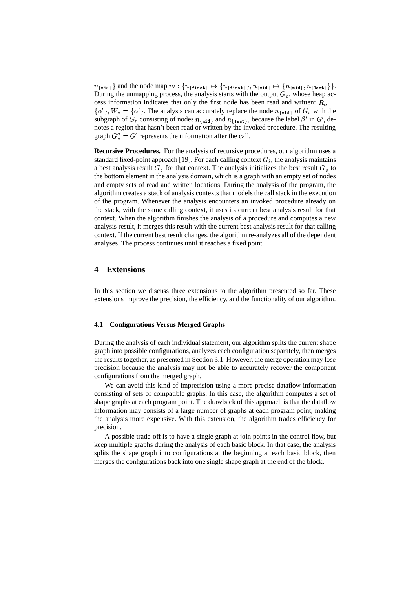$n_{\{\text{mid}\}}$  and the node map  $m: \{n_{\{\text{first}\}} \mapsto \{n_{\{\text{first}\}}\}$ ,  $n_{\{\text{mid}\}} \mapsto \{n_{\{\text{mid}\}}\}$ . During the unmapping process, the analysis starts with the output  $G<sub>o</sub>$ , whose heap access information indicates that only the first node has been read and written:  $R_o$  =  $\{\alpha'\}, W_o = \{\alpha'\}.$  The analysis can accurately replace the node  $n_{\{\text{mid}\}}$  of  $G_o$  with the subgraph of  $G_r$  consisting of nodes  $n_{\{\text{mid}\}}$  and  $n_{\{\text{last}\}}$ , because the label  $\beta'$  in  $G'_o$  denotes a region that hasn't been read or written by the invoked procedure. The resulting graph  $G''_o = G'$  represents the information after the call.

**Recursive Procedures.** For the analysis of recursive procedures, our algorithm uses a standard fixed-point approach [19]. For each calling context  $G_i$ , the analysis maintains a best analysis result  $G<sub>o</sub>$  for that context. The analysis initializes the best result  $G<sub>o</sub>$  to the bottom element in the analysis domain, which is a graph with an empty set of nodes and empty sets of read and written locations. During the analysis of the program, the algorithm creates a stack of analysis contexts that models the call stack in the execution of the program. Whenever the analysis encounters an invoked procedure already on the stack, with the same calling context, it uses its current best analysis result for that context. When the algorithm finishes the analysis of a procedure and computes a new analysis result, it merges this result with the current best analysis result for that calling context. If the current best result changes, the algorithm re-analyzes all of the dependent analyses. The process continues until it reaches a fixed point.

### **4 Extensions**

In this section we discuss three extensions to the algorithm presented so far. These extensions improve the precision, the efficiency, and the functionality of our algorithm.

## **4.1 Configurations Versus Merged Graphs**

During the analysis of each individual statement, our algorithm splits the current shape graph into possible configurations, analyzes each configuration separately, then merges the results together, as presented in Section 3.1. However, the merge operation may lose precision because the analysis may not be able to accurately recover the component configurations from the merged graph.

We can avoid this kind of imprecision using a more precise dataflow information consisting of sets of compatible graphs. In this case, the algorithm computes a set of shape graphs at each program point. The drawback of this approach is that the dataflow information may consists of a large number of graphs at each program point, making the analysis more expensive. With this extension, the algorithm trades efficiency for precision.

A possible trade-off is to have a single graph at join points in the control flow, but keep multiple graphs during the analysis of each basic block. In that case, the analysis splits the shape graph into configurations at the beginning at each basic block, then merges the configurations back into one single shape graph at the end of the block.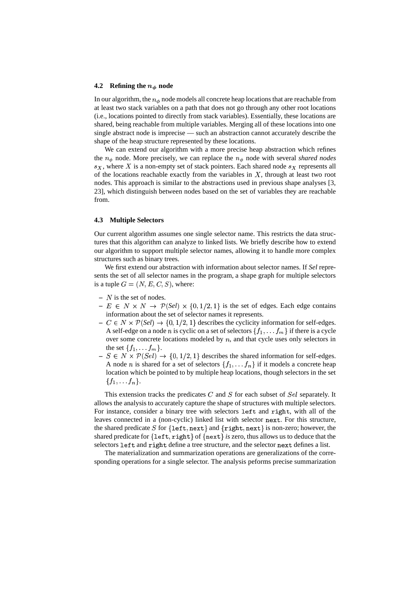### **4.2 Refining the**  $n_{\phi}$  **node**

In our algorithm, the  $n_{\phi}$  node models all concrete heap locations that are reachable from at least two stack variables on a path that does not go through any other root locations (i.e., locations pointed to directly from stack variables). Essentially, these locations are shared, being reachable from multiple variables. Merging all of these locations into one single abstract node is imprecise — such an abstraction cannot accurately describe the shape of the heap structure represented by these locations.

We can extend our algorithm with a more precise heap abstraction which refines the  $n_{\phi}$  node. More precisely, we can replace the  $n_{\phi}$  node with several *shared nodes*  $s_X$ , where X is a non-empty set of stack pointers. Each shared node  $s_X$  represents all of the locations reachable exactly from the variables in  $X$ , through at least two root nodes. This approach is similar to the abstractions used in previous shape analyses [3, 23], which distinguish between nodes based on the set of variables they are reachable from.

### **4.3 Multiple Selectors**

Our current algorithm assumes one single selector name. This restricts the data structures that this algorithm can analyze to linked lists. We briefly describe how to extend our algorithm to support multiple selector names, allowing it to handle more complex structures such as binary trees.

We first extend our abstraction with information about selector names. If *Sel* represents the set of all selector names in the program, a shape graph for multiple selectors is a tuple  $G = (N, E, C, S)$ , where:

- $-$  N is the set of nodes.
- $E \in N \times N \rightarrow \mathcal{P}(Sel) \times \{0, 1/2, 1\}$  is the set of edges. Each edge contains information about the set of selector names it represents.
- $-C \in N \times \mathcal{P}(Sel) \rightarrow \{0, 1/2, 1\}$  describes the cyclicity information for self-edges. A self-edge on a node *n* is cyclic on a set of selectors  $\{f_1, \ldots, f_m\}$  if there is a cycle over some concrete locations modeled by  $n$ , and that cycle uses only selectors in the set  $\{f_1, \ldots, f_m\}$ .
- $S \in N \times \mathcal{P}(Sel) \rightarrow \{0, 1/2, 1\}$  describes the shared information for self-edges. A node *n* is shared for a set of selectors  $\{f_1, \ldots, f_n\}$  if it models a concrete heap location which be pointed to by multiple heap locations, though selectors in the set  $\{f_1, \ldots, f_n\}.$

This extension tracks the predicates  $C$  and  $S$  for each subset of  $Sel$  separately. It allows the analysis to accurately capture the shape of structures with multiple selectors. For instance, consider a binary tree with selectors  $left$  and right, with all of the leaves connected in a (non-cyclic) linked list with selector next. For this structure, the shared predicate S for  $\{left$  left, next  $\}$  and  $\{right,$  next  $\}$  is non-zero; however, the shared predicate for  $\{\text{left}, \text{right}\}$  of  $\{\text{next}\}\$ is zero, thus allows us to deduce that the selectors left and right define a tree structure, and the selector next defines a list.

The materialization and summarization operations are generalizations of the corresponding operations for a single selector. The analysis peforms precise summarization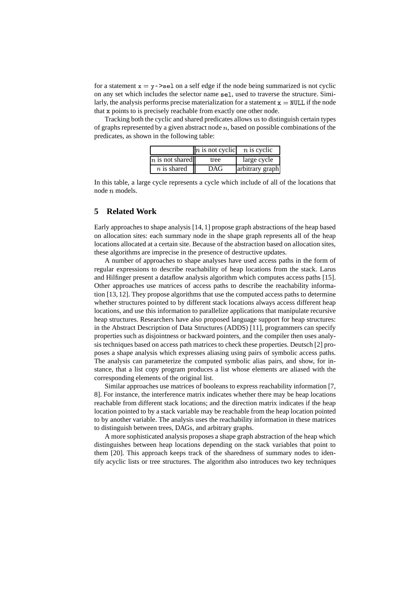for a statement  $x = y - \text{se1}$  on a self edge if the node being summarized is not cyclic on any set which includes the selector name sel, used to traverse the structure. Similarly, the analysis performs precise materialization for a statement  $x = NULL$  if the node that x points to is precisely reachable from exactly one other node.

Tracking both the cyclic and shared predicates allows us to distinguish certain types of graphs represented by a given abstract node  $n$ , based on possible combinations of the predicates, as shown in the following table:

|                                        | $\ n\ $ is not cyclic | $n$ is cyclic   |
|----------------------------------------|-----------------------|-----------------|
| $\left  n \right\rangle$ is not shared | tree                  | large cycle     |
| $n$ is shared                          | DAG                   | arbitrary graph |

In this table, a large cycle represents a cycle which include of all of the locations that node *n* models.

# **5 Related Work**

Early approaches to shape analysis [14, 1] propose graph abstractions of the heap based on allocation sites: each summary node in the shape graph represents all of the heap locations allocated at a certain site. Because of the abstraction based on allocation sites, these algorithms are imprecise in the presence of destructive updates.

A number of approaches to shape analyses have used access paths in the form of regular expressions to describe reachability of heap locations from the stack. Larus and Hilfinger present a dataflow analysis algorithm which computes access paths [15]. Other approaches use matrices of access paths to describe the reachability information [13, 12]. They propose algorithms that use the computed access paths to determine whether structures pointed to by different stack locations always access different heap locations, and use this information to parallelize applications that manipulate recursive heap structures. Researchers have also proposed language support for heap structures: in the Abstract Description of Data Structures (ADDS) [11], programmers can specify properties such as disjointness or backward pointers, and the compiler then uses analysis techniques based on access path matrices to check these properties. Deutsch [2] proposes a shape analysis which expresses aliasing using pairs of symbolic access paths. The analysis can parameterize the computed symbolic alias pairs, and show, for instance, that a list copy program produces a list whose elements are aliased with the corresponding elements of the original list.

Similar approaches use matrices of booleans to express reachability information [7, 8]. For instance, the interference matrix indicates whether there may be heap locations reachable from different stack locations; and the direction matrix indicates if the heap location pointed to by a stack variable may be reachable from the heap location pointed to by another variable. The analysis uses the reachability information in these matrices to distinguish between trees, DAGs, and arbitrary graphs.

A more sophisticated analysis proposes a shape graph abstraction of the heap which distinguishes between heap locations depending on the stack variables that point to them [20]. This approach keeps track of the sharedness of summary nodes to identify acyclic lists or tree structures. The algorithm also introduces two key techniques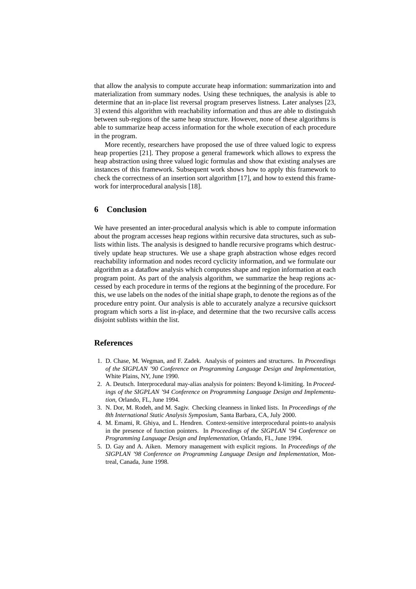that allow the analysis to compute accurate heap information: summarization into and materialization from summary nodes. Using these techniques, the analysis is able to determine that an in-place list reversal program preserves listness. Later analyses [23, 3] extend this algorithm with reachability information and thus are able to distinguish between sub-regions of the same heap structure. However, none of these algorithms is able to summarize heap access information for the whole execution of each procedure in the program.

More recently, researchers have proposed the use of three valued logic to express heap properties [21]. They propose a general framework which allows to express the heap abstraction using three valued logic formulas and show that existing analyses are instances of this framework. Subsequent work shows how to apply this framework to check the correctness of an insertion sort algorithm [17], and how to extend this framework for interprocedural analysis [18].

# **6 Conclusion**

We have presented an inter-procedural analysis which is able to compute information about the program accesses heap regions within recursive data structures, such as sublists within lists. The analysis is designed to handle recursive programs which destructively update heap structures. We use a shape graph abstraction whose edges record reachability information and nodes record cyclicity information, and we formulate our algorithm as a dataflow analysis which computes shape and region information at each program point. As part of the analysis algorithm, we summarize the heap regions accessed by each procedure in terms of the regions at the beginning of the procedure. For this, we use labels on the nodes of the initial shape graph, to denote the regions as of the procedure entry point. Our analysis is able to accurately analyze a recursive quicksort program which sorts a list in-place, and determine that the two recursive calls access disjoint sublists within the list.

# **References**

- 1. D. Chase, M. Wegman, and F. Zadek. Analysis of pointers and structures. In *Proceedings of the SIGPLAN '90 Conference on Programming Language Design and Implementation*, White Plains, NY, June 1990.
- 2. A. Deutsch. Interprocedural may-alias analysis for pointers: Beyond k-limiting. In *Proceedings of the SIGPLAN '94 Conference on Programming Language Design and Implementation*, Orlando, FL, June 1994.
- 3. N. Dor, M. Rodeh, and M. Sagiv. Checking cleanness in linked lists. In *Proceedings of the 8th International Static Analysis Symposium*, Santa Barbara, CA, July 2000.
- 4. M. Emami, R. Ghiya, and L. Hendren. Context-sensitive interprocedural points-to analysis in the presence of function pointers. In *Proceedings of the SIGPLAN '94 Conference on Programming Language Design and Implementation*, Orlando, FL, June 1994.
- 5. D. Gay and A. Aiken. Memory management with explicit regions. In *Proceedings of the SIGPLAN '98 Conference on Programming Language Design and Implementation*, Montreal, Canada, June 1998.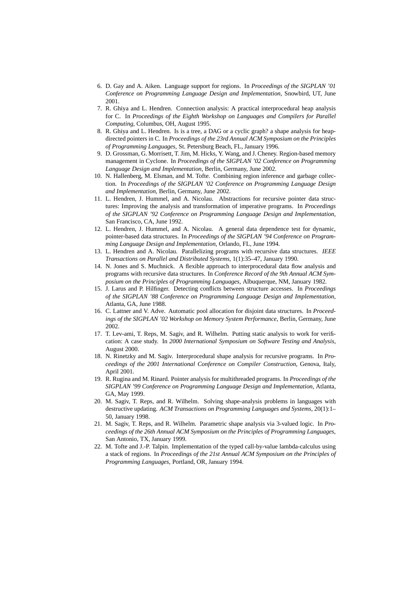- 6. D. Gay and A. Aiken. Language support for regions. In *Proceedings of the SIGPLAN '01 Conference on Programming Language Design and Implementation*, Snowbird, UT, June 2001.
- 7. R. Ghiya and L. Hendren. Connection analysis: A practical interprocedural heap analysis for C. In *Proceedings of the Eighth Workshop on Languages and Compilers for Parallel Computing*, Columbus, OH, August 1995.
- 8. R. Ghiya and L. Hendren. Is is a tree, a DAG or a cyclic graph? a shape analysis for heapdirected pointers in C. In *Proceedings of the 23rd Annual ACM Symposium on the Principles of Programming Languages*, St. Petersburg Beach, FL, January 1996.
- 9. D. Grossman, G. Morrisett, T.Jim, M. Hicks, Y. Wang, and J. Cheney. Region-based memory management in Cyclone. In *Proceedings of the SIGPLAN '02 Conference on Programming Language Design and Implementation*, Berlin, Germany, June 2002.
- 10. N. Hallenberg, M. Elsman, and M. Tofte. Combining region inference and garbage collection. In *Proceedings of the SIGPLAN '02 Conference on Programming Language Design and Implementation*, Berlin, Germany, June 2002.
- 11. L. Hendren, J. Hummel, and A. Nicolau. Abstractions for recursive pointer data structures: Improving the analysis and transformation of imperative programs. In *Proceedings of the SIGPLAN '92 Conference on Programming Language Design and Implementation*, San Francisco, CA, June 1992.
- 12. L. Hendren, J. Hummel, and A. Nicolau. A general data dependence test for dynamic, pointer-based data structures. In *Proceedings of the SIGPLAN '94 Conference on Programming Language Design and Implementation*, Orlando, FL, June 1994.
- 13. L. Hendren and A. Nicolau. Parallelizing programs with recursive data structures. *IEEE Transactions on Parallel and Distributed Systems*, 1(1):35–47, January 1990.
- 14. N. Jones and S. Muchnick. A flexible approach to interprocedural data flow analysis and programs with recursive data structures. In *Conference Record of the 9th Annual ACM Symposium on the Principles of Programming Languages*, Albuquerque, NM, January 1982.
- 15. J. Larus and P. Hilfinger. Detecting conflicts between structure accesses. In *Proceedings of the SIGPLAN '88 Conference on Programming Language Design and Implementation*, Atlanta, GA, June 1988.
- 16. C. Lattner and V. Adve. Automatic pool allocation for disjoint data structures. In *Proceedings of the SIGPLAN '02 Workshop on Memory System Performance*, Berlin, Germany, June 2002.
- 17. T. Lev-ami, T. Reps, M. Sagiv, and R. Wilhelm. Putting static analysis to work for verification: A case study. In *2000 International Symposium on Software Testing and Analysis*, August 2000.
- 18. N. Rinetzky and M. Sagiv. Interprocedural shape analysis for recursive programs. In *Proceedings of the 2001 International Conference on Compiler Construction*, Genova, Italy, April 2001.
- 19. R. Rugina and M. Rinard. Pointer analysis for multithreaded programs. In *Proceedings of the SIGPLAN '99 Conference on Programming Language Design and Implementation*, Atlanta, GA, May 1999.
- 20. M. Sagiv, T. Reps, and R. Wilhelm. Solving shape-analysis problems in languages with destructive updating. *ACM Transactions on Programming Languages and Systems*, 20(1):1– 50, January 1998.
- 21. M. Sagiv, T. Reps, and R. Wilhelm. Parametric shape analysis via 3-valued logic. In *Proceedings of the 26th Annual ACM Symposium on the Principles of Programming Languages*, San Antonio, TX, January 1999.
- 22. M. Tofte and J.-P. Talpin. Implementation of the typed call-by-value lambda-calculus using a stack of regions. In *Proceedings of the 21st Annual ACM Symposium on the Principles of Programming Languages*, Portland, OR, January 1994.